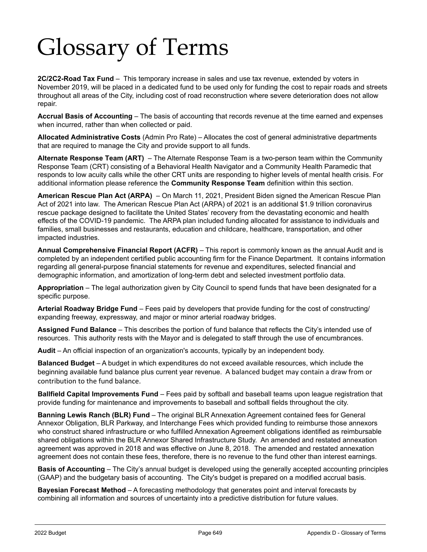## Glossary of Terms

**2C/2C2-Road Tax Fund** – This temporary increase in sales and use tax revenue, extended by voters in November 2019, will be placed in a dedicated fund to be used only for funding the cost to repair roads and streets throughout all areas of the City, including cost of road reconstruction where severe deterioration does not allow repair.

**Accrual Basis of Accounting** – The basis of accounting that records revenue at the time earned and expenses when incurred, rather than when collected or paid.

**Allocated Administrative Costs** (Admin Pro Rate) – Allocates the cost of general administrative departments that are required to manage the City and provide support to all funds.

**Alternate Response Team (ART)** – The Alternate Response Team is a two-person team within the Community Response Team (CRT) consisting of a Behavioral Health Navigator and a Community Health Paramedic that responds to low acuity calls while the other CRT units are responding to higher levels of mental health crisis. For additional information please reference the **Community Response Team** definition within this section.

**American Rescue Plan Act (ARPA)** – On March 11, 2021, President Biden signed the American Rescue Plan Act of 2021 into law. The American Rescue Plan Act (ARPA) of 2021 is an additional \$1.9 trillion coronavirus rescue package designed to facilitate the United States' recovery from the devastating economic and health effects of the COVID-19 pandemic. The ARPA plan included funding allocated for assistance to individuals and families, small businesses and restaurants, education and childcare, healthcare, transportation, and other impacted industries.

**Annual Comprehensive Financial Report (ACFR)** – This report is commonly known as the annual Audit and is completed by an independent certified public accounting firm for the Finance Department. It contains information regarding all general-purpose financial statements for revenue and expenditures, selected financial and demographic information, and amortization of long-term debt and selected investment portfolio data.

**Appropriation** – The legal authorization given by City Council to spend funds that have been designated for a specific purpose.

**Arterial Roadway Bridge Fund** – Fees paid by developers that provide funding for the cost of constructing/ expanding freeway, expressway, and major or minor arterial roadway bridges.

**Assigned Fund Balance** – This describes the portion of fund balance that reflects the City's intended use of resources. This authority rests with the Mayor and is delegated to staff through the use of encumbrances.

**Audit** – An official inspection of an organization's accounts, typically by an independent body.

**Balanced Budget** – A budget in which expenditures do not exceed available resources, which include the beginning available fund balance plus current year revenue. A balanced budget may contain a draw from or contribution to the fund balance.

**Ballfield Capital Improvements Fund** – Fees paid by softball and baseball teams upon league registration that provide funding for maintenance and improvements to baseball and softball fields throughout the city.

**Banning Lewis Ranch (BLR) Fund** – The original BLR Annexation Agreement contained fees for General Annexor Obligation, BLR Parkway, and Interchange Fees which provided funding to reimburse those annexors who construct shared infrastructure or who fulfilled Annexation Agreement obligations identified as reimbursable shared obligations within the BLR Annexor Shared Infrastructure Study. An amended and restated annexation agreement was approved in 2018 and was effective on June 8, 2018. The amended and restated annexation agreement does not contain these fees, therefore, there is no revenue to the fund other than interest earnings.

**Basis of Accounting** – The City's annual budget is developed using the generally accepted accounting principles (GAAP) and the budgetary basis of accounting. The City's budget is prepared on a modified accrual basis.

**Bayesian Forecast Method** – A forecasting methodology that generates point and interval forecasts by combining all information and sources of uncertainty into a predictive distribution for future values.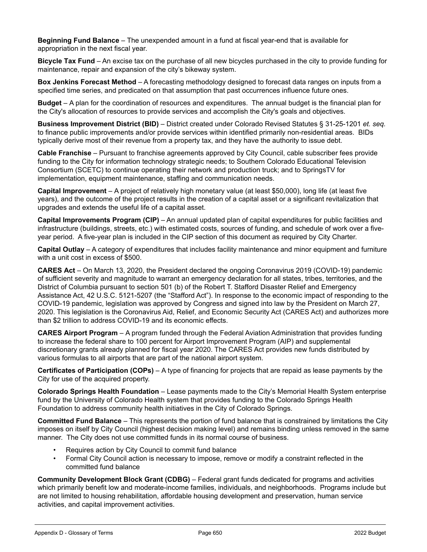**Beginning Fund Balance** – The unexpended amount in a fund at fiscal year-end that is available for appropriation in the next fiscal year.

**Bicycle Tax Fund** – An excise tax on the purchase of all new bicycles purchased in the city to provide funding for maintenance, repair and expansion of the city's bikeway system.

**Box Jenkins Forecast Method** – A forecasting methodology designed to forecast data ranges on inputs from a specified time series, and predicated on that assumption that past occurrences influence future ones.

**Budget** – A plan for the coordination of resources and expenditures. The annual budget is the financial plan for the City's allocation of resources to provide services and accomplish the City's goals and objectives.

**Business Improvement District (BID)** – District created under Colorado Revised Statutes § 31-25-1201 *et. seq.* to finance public improvements and/or provide services within identified primarily non-residential areas. BIDs typically derive most of their revenue from a property tax, and they have the authority to issue debt.

**Cable Franchise** – Pursuant to franchise agreements approved by City Council, cable subscriber fees provide funding to the City for information technology strategic needs; to Southern Colorado Educational Television Consortium (SCETC) to continue operating their network and production truck; and to SpringsTV for implementation, equipment maintenance, staffing and communication needs.

**Capital Improvement** – A project of relatively high monetary value (at least \$50,000), long life (at least five years), and the outcome of the project results in the creation of a capital asset or a significant revitalization that upgrades and extends the useful life of a capital asset.

**Capital Improvements Program (CIP)** – An annual updated plan of capital expenditures for public facilities and infrastructure (buildings, streets, etc.) with estimated costs, sources of funding, and schedule of work over a fiveyear period. A five-year plan is included in the CIP section of this document as required by City Charter.

**Capital Outlay** – A category of expenditures that includes facility maintenance and minor equipment and furniture with a unit cost in excess of \$500.

**CARES Act** – On March 13, 2020, the President declared the ongoing Coronavirus 2019 (COVID-19) pandemic of sufficient severity and magnitude to warrant an emergency declaration for all states, tribes, territories, and the District of Columbia pursuant to section 501 (b) of the Robert T. Stafford Disaster Relief and Emergency Assistance Act, 42 U.S.C. 5121-5207 (the "Stafford Act"). In response to the economic impact of responding to the COVID-19 pandemic, legislation was approved by Congress and signed into law by the President on March 27, 2020. This legislation is the Coronavirus Aid, Relief, and Economic Security Act (CARES Act) and authorizes more than \$2 trillion to address COVID-19 and its economic effects.

**CARES Airport Program** – A program funded through the Federal Aviation Administration that provides funding to increase the federal share to 100 percent for Airport Improvement Program (AIP) and supplemental discretionary grants already planned for fiscal year 2020. The CARES Act provides new funds distributed by various formulas to all airports that are part of the national airport system.

**Certificates of Participation (COPs)** – A type of financing for projects that are repaid as lease payments by the City for use of the acquired property.

**Colorado Springs Health Foundation** – Lease payments made to the City's Memorial Health System enterprise fund by the University of Colorado Health system that provides funding to the Colorado Springs Health Foundation to address community health initiatives in the City of Colorado Springs.

**Committed Fund Balance** – This represents the portion of fund balance that is constrained by limitations the City imposes on itself by City Council (highest decision making level) and remains binding unless removed in the same manner. The City does not use committed funds in its normal course of business.

- Requires action by City Council to commit fund balance
- Formal City Council action is necessary to impose, remove or modify a constraint reflected in the committed fund balance

**Community Development Block Grant (CDBG)** – Federal grant funds dedicated for programs and activities which primarily benefit low and moderate-income families, individuals, and neighborhoods. Programs include but are not limited to housing rehabilitation, affordable housing development and preservation, human service activities, and capital improvement activities.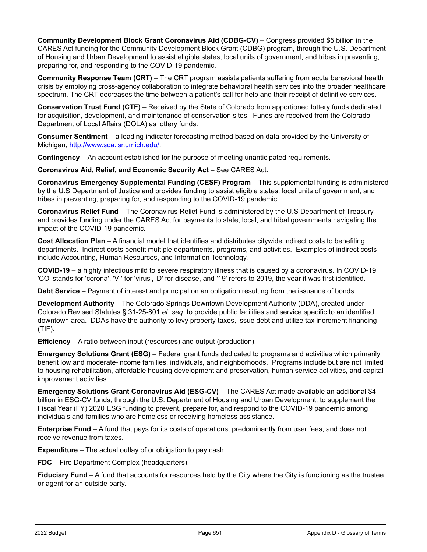**Community Development Block Grant Coronavirus Aid (CDBG-CV)** – Congress provided \$5 billion in the CARES Act funding for the Community Development Block Grant (CDBG) program, through the U.S. Department of Housing and Urban Development to assist eligible states, local units of government, and tribes in preventing, preparing for, and responding to the COVID-19 pandemic.

**Community Response Team (CRT)** – The CRT program assists patients suffering from acute behavioral health crisis by employing cross-agency collaboration to integrate behavioral health services into the broader healthcare spectrum. The CRT decreases the time between a patient's call for help and their receipt of definitive services.

**Conservation Trust Fund (CTF)** – Received by the State of Colorado from apportioned lottery funds dedicated for acquisition, development, and maintenance of conservation sites. Funds are received from the Colorado Department of Local Affairs (DOLA) as lottery funds.

**Consumer Sentiment** – a leading indicator forecasting method based on data provided by the University of Michigan, [http://www.sca.isr.umich.edu/.](http://www.sca.isr.umich.edu/)

**Contingency** – An account established for the purpose of meeting unanticipated requirements.

**Coronavirus Aid, Relief, and Economic Security Act** – See CARES Act.

**Coronavirus Emergency Supplemental Funding (CESF) Program** – This supplemental funding is administered by the U.S Department of Justice and provides funding to assist eligible states, local units of government, and tribes in preventing, preparing for, and responding to the COVID-19 pandemic.

**Coronavirus Relief Fund** – The Coronavirus Relief Fund is administered by the U.S Department of Treasury and provides funding under the CARES Act for payments to state, local, and tribal governments navigating the impact of the COVID-19 pandemic.

**Cost Allocation Plan** – A financial model that identifies and distributes citywide indirect costs to benefiting departments. Indirect costs benefit multiple departments, programs, and activities. Examples of indirect costs include Accounting, Human Resources, and Information Technology.

**COVID-19** – a highly infectious mild to severe respiratory illness that is caused by a coronavirus. In COVID-19 'CO' stands for 'corona', 'VI' for 'virus', 'D' for disease, and '19' refers to 2019, the year it was first identified.

**Debt Service** – Payment of interest and principal on an obligation resulting from the issuance of bonds.

**Development Authority** – The Colorado Springs Downtown Development Authority (DDA), created under Colorado Revised Statutes § 31-25-801 *et. seq.* to provide public facilities and service specific to an identified downtown area. DDAs have the authority to levy property taxes, issue debt and utilize tax increment financing (TIF).

**Efficiency** – A ratio between input (resources) and output (production).

**Emergency Solutions Grant (ESG)** – Federal grant funds dedicated to programs and activities which primarily benefit low and moderate-income families, individuals, and neighborhoods. Programs include but are not limited to housing rehabilitation, affordable housing development and preservation, human service activities, and capital improvement activities.

**Emergency Solutions Grant Coronavirus Aid (ESG-CV)** – The CARES Act made available an additional \$4 billion in ESG-CV funds, through the U.S. Department of Housing and Urban Development, to supplement the Fiscal Year (FY) 2020 ESG funding to prevent, prepare for, and respond to the COVID-19 pandemic among individuals and families who are homeless or receiving homeless assistance.

**Enterprise Fund** – A fund that pays for its costs of operations, predominantly from user fees, and does not receive revenue from taxes.

**Expenditure** – The actual outlay of or obligation to pay cash.

**FDC** – Fire Department Complex (headquarters).

**Fiduciary Fund** – A fund that accounts for resources held by the City where the City is functioning as the trustee or agent for an outside party.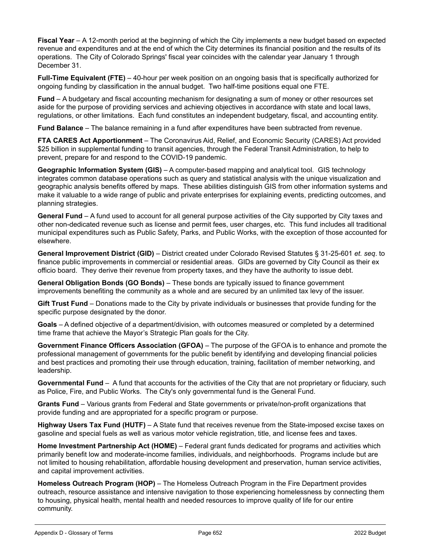**Fiscal Year** – A 12-month period at the beginning of which the City implements a new budget based on expected revenue and expenditures and at the end of which the City determines its financial position and the results of its operations. The City of Colorado Springs' fiscal year coincides with the calendar year January 1 through December 31.

**Full-Time Equivalent (FTE)** – 40-hour per week position on an ongoing basis that is specifically authorized for ongoing funding by classification in the annual budget. Two half-time positions equal one FTE.

**Fund** – A budgetary and fiscal accounting mechanism for designating a sum of money or other resources set aside for the purpose of providing services and achieving objectives in accordance with state and local laws, regulations, or other limitations. Each fund constitutes an independent budgetary, fiscal, and accounting entity.

**Fund Balance** – The balance remaining in a fund after expenditures have been subtracted from revenue.

**FTA CARES Act Apportionment** – The Coronavirus Aid, Relief, and Economic Security (CARES) Act provided \$25 billion in supplemental funding to transit agencies, through the Federal Transit Administration, to help to prevent, prepare for and respond to the COVID-19 pandemic.

**Geographic Information System (GIS)** – A computer-based mapping and analytical tool. GIS technology integrates common database operations such as query and statistical analysis with the unique visualization and geographic analysis benefits offered by maps. These abilities distinguish GIS from other information systems and make it valuable to a wide range of public and private enterprises for explaining events, predicting outcomes, and planning strategies.

**General Fund** – A fund used to account for all general purpose activities of the City supported by City taxes and other non-dedicated revenue such as license and permit fees, user charges, etc. This fund includes all traditional municipal expenditures such as Public Safety, Parks, and Public Works, with the exception of those accounted for elsewhere.

**General Improvement District (GID)** – District created under Colorado Revised Statutes § 31-25-601 *et. seq*. to finance public improvements in commercial or residential areas. GIDs are governed by City Council as their ex officio board. They derive their revenue from property taxes, and they have the authority to issue debt.

**General Obligation Bonds (GO Bonds)** – These bonds are typically issued to finance government improvements benefiting the community as a whole and are secured by an unlimited tax levy of the issuer.

**Gift Trust Fund** – Donations made to the City by private individuals or businesses that provide funding for the specific purpose designated by the donor.

**Goals** – A defined objective of a department/division, with outcomes measured or completed by a determined time frame that achieve the Mayor's Strategic Plan goals for the City.

**Government Finance Officers Association (GFOA)** – The purpose of the GFOA is to enhance and promote the professional management of governments for the public benefit by identifying and developing financial policies and best practices and promoting their use through education, training, facilitation of member networking, and leadership.

**Governmental Fund** – A fund that accounts for the activities of the City that are not proprietary or fiduciary, such as Police, Fire, and Public Works. The City's only governmental fund is the General Fund.

**Grants Fund** – Various grants from Federal and State governments or private/non-profit organizations that provide funding and are appropriated for a specific program or purpose.

**Highway Users Tax Fund (HUTF)** – A State fund that receives revenue from the State-imposed excise taxes on gasoline and special fuels as well as various motor vehicle registration, title, and license fees and taxes.

**Home Investment Partnership Act (HOME)** – Federal grant funds dedicated for programs and activities which primarily benefit low and moderate-income families, individuals, and neighborhoods. Programs include but are not limited to housing rehabilitation, affordable housing development and preservation, human service activities, and capital improvement activities.

**Homeless Outreach Program (HOP)** – The Homeless Outreach Program in the Fire Department provides outreach, resource assistance and intensive navigation to those experiencing homelessness by connecting them to housing, physical health, mental health and needed resources to improve quality of life for our entire community.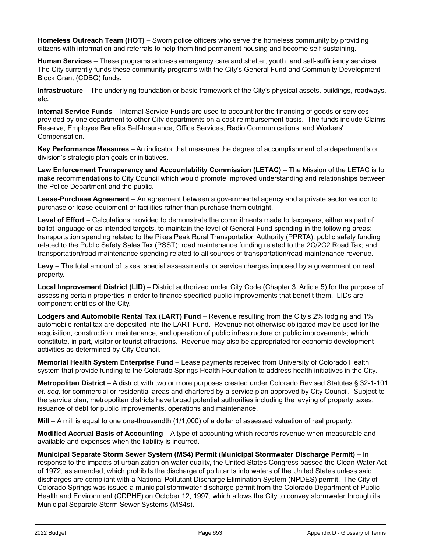**Homeless Outreach Team (HOT)** – Sworn police officers who serve the homeless community by providing citizens with information and referrals to help them find permanent housing and become self-sustaining.

**Human Services** – These programs address emergency care and shelter, youth, and self-sufficiency services. The City currently funds these community programs with the City's General Fund and Community Development Block Grant (CDBG) funds.

**Infrastructure** – The underlying foundation or basic framework of the City's physical assets, buildings, roadways, etc.

**Internal Service Funds** – Internal Service Funds are used to account for the financing of goods or services provided by one department to other City departments on a cost-reimbursement basis. The funds include Claims Reserve, Employee Benefits Self-Insurance, Office Services, Radio Communications, and Workers' Compensation.

**Key Performance Measures** – An indicator that measures the degree of accomplishment of a department's or division's strategic plan goals or initiatives.

**Law Enforcement Transparency and Accountability Commission (LETAC)** – The Mission of the LETAC is to make recommendations to City Council which would promote improved understanding and relationships between the Police Department and the public.

**Lease-Purchase Agreement** – An agreement between a governmental agency and a private sector vendor to purchase or lease equipment or facilities rather than purchase them outright.

**Level of Effort** – Calculations provided to demonstrate the commitments made to taxpayers, either as part of ballot language or as intended targets, to maintain the level of General Fund spending in the following areas: transportation spending related to the Pikes Peak Rural Transportation Authority (PPRTA); public safety funding related to the Public Safety Sales Tax (PSST); road maintenance funding related to the 2C/2C2 Road Tax; and, transportation/road maintenance spending related to all sources of transportation/road maintenance revenue.

**Levy** – The total amount of taxes, special assessments, or service charges imposed by a government on real property.

**Local Improvement District (LID)** – District authorized under City Code (Chapter 3, Article 5) for the purpose of assessing certain properties in order to finance specified public improvements that benefit them. LIDs are component entities of the City.

**Lodgers and Automobile Rental Tax (LART) Fund** – Revenue resulting from the City's 2% lodging and 1% automobile rental tax are deposited into the LART Fund. Revenue not otherwise obligated may be used for the acquisition, construction, maintenance, and operation of public infrastructure or public improvements; which constitute, in part, visitor or tourist attractions. Revenue may also be appropriated for economic development activities as determined by City Council.

**Memorial Health System Enterprise Fund** – Lease payments received from University of Colorado Health system that provide funding to the Colorado Springs Health Foundation to address health initiatives in the City.

**Metropolitan District** – A district with two or more purposes created under Colorado Revised Statutes § 32-1-101 *et. seq.* for commercial or residential areas and chartered by a service plan approved by City Council. Subject to the service plan, metropolitan districts have broad potential authorities including the levying of property taxes, issuance of debt for public improvements, operations and maintenance.

**Mill** – A mill is equal to one one-thousandth (1/1,000) of a dollar of assessed valuation of real property.

**Modified Accrual Basis of Accounting** – A type of accounting which records revenue when measurable and available and expenses when the liability is incurred.

**Municipal Separate Storm Sewer System (MS4) Permit (Municipal Stormwater Discharge Permit)** – In response to the impacts of urbanization on water quality, the United States Congress passed the Clean Water Act of 1972, as amended, which prohibits the discharge of pollutants into waters of the United States unless said discharges are compliant with a National Pollutant Discharge Elimination System (NPDES) permit. The City of Colorado Springs was issued a municipal stormwater discharge permit from the Colorado Department of Public Health and Environment (CDPHE) on October 12, 1997, which allows the City to convey stormwater through its Municipal Separate Storm Sewer Systems (MS4s).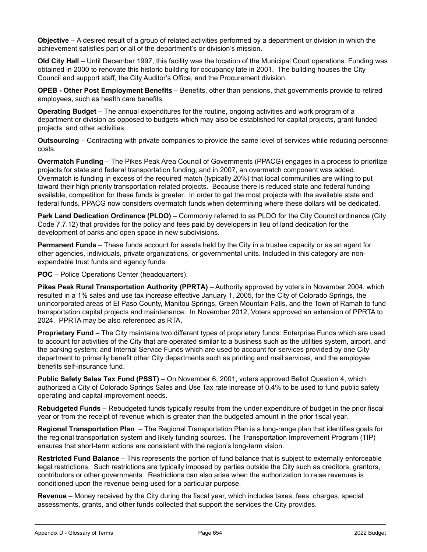**Objective** – A desired result of a group of related activities performed by a department or division in which the achievement satisfies part or all of the department's or division's mission.

**Old City Hall** – Until December 1997, this facility was the location of the Municipal Court operations. Funding was obtained in 2000 to renovate this historic building for occupancy late in 2001. The building houses the City Council and support staff, the City Auditor's Office, and the Procurement division.

**OPEB - Other Post Employment Benefits** – Benefits, other than pensions, that governments provide to retired employees, such as health care benefits.

**Operating Budget** – The annual expenditures for the routine, ongoing activities and work program of a department or division as opposed to budgets which may also be established for capital projects, grant-funded projects, and other activities.

**Outsourcing** – Contracting with private companies to provide the same level of services while reducing personnel costs.

**Overmatch Funding** – The Pikes Peak Area Council of Governments (PPACG) engages in a process to prioritize projects for state and federal transportation funding; and in 2007, an overmatch component was added. Overmatch is funding in excess of the required match (typically 20%) that local communities are willing to put toward their high priority transportation-related projects. Because there is reduced state and federal funding available, competition for these funds is greater. In order to get the most projects with the available state and federal funds, PPACG now considers overmatch funds when determining where these dollars will be dedicated.

**Park Land Dedication Ordinance (PLDO)** – Commonly referred to as PLDO for the City Council ordinance (City Code 7.7.12) that provides for the policy and fees paid by developers in lieu of land dedication for the development of parks and open space in new subdivisions.

**Permanent Funds** – These funds account for assets held by the City in a trustee capacity or as an agent for other agencies, individuals, private organizations, or governmental units. Included in this category are nonexpendable trust funds and agency funds.

**POC** – Police Operations Center (headquarters).

**Pikes Peak Rural Transportation Authority (PPRTA)** – Authority approved by voters in November 2004, which resulted in a 1% sales and use tax increase effective January 1, 2005, for the City of Colorado Springs, the unincorporated areas of El Paso County, Manitou Springs, Green Mountain Falls, and the Town of Ramah to fund transportation capital projects and maintenance. In November 2012, Voters approved an extension of PPRTA to 2024. PPRTA may be also referenced as RTA.

**Proprietary Fund** – The City maintains two different types of proprietary funds: Enterprise Funds which are used to account for activities of the City that are operated similar to a business such as the utilities system, airport, and the parking system; and Internal Service Funds which are used to account for services provided by one City department to primarily benefit other City departments such as printing and mail services, and the employee benefits self-insurance fund.

**Public Safety Sales Tax Fund (PSST)** – On November 6, 2001, voters approved Ballot Question 4, which authorized a City of Colorado Springs Sales and Use Tax rate increase of 0.4% to be used to fund public safety operating and capital improvement needs.

**Rebudgeted Funds** – Rebudgeted funds typically results from the under expenditure of budget in the prior fiscal year or from the receipt of revenue which is greater than the budgeted amount in the prior fiscal year.

**Regional Transportation Plan** – The Regional Transportation Plan is a long-range plan that identifies goals for the regional transportation system and likely funding sources. The Transportation Improvement Program (TIP) ensures that short-term actions are consistent with the region's long-term vision.

**Restricted Fund Balance** – This represents the portion of fund balance that is subject to externally enforceable legal restrictions. Such restrictions are typically imposed by parties outside the City such as creditors, grantors, contributors or other governments. Restrictions can also arise when the authorization to raise revenues is conditioned upon the revenue being used for a particular purpose.

**Revenue** – Money received by the City during the fiscal year, which includes taxes, fees, charges, special assessments, grants, and other funds collected that support the services the City provides.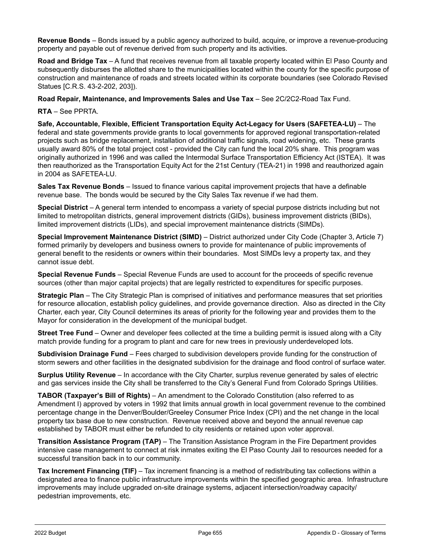**Revenue Bonds** – Bonds issued by a public agency authorized to build, acquire, or improve a revenue-producing property and payable out of revenue derived from such property and its activities.

**Road and Bridge Tax** – A fund that receives revenue from all taxable property located within El Paso County and subsequently disburses the allotted share to the municipalities located within the county for the specific purpose of construction and maintenance of roads and streets located within its corporate boundaries (see Colorado Revised Statues [C.R.S. 43-2-202, 203]).

**Road Repair, Maintenance, and Improvements Sales and Use Tax** – See 2C/2C2-Road Tax Fund.

**RTA** – See PPRTA.

**Safe, Accountable, Flexible, Efficient Transportation Equity Act-Legacy for Users (SAFETEA-LU)** – The federal and state governments provide grants to local governments for approved regional transportation-related projects such as bridge replacement, installation of additional traffic signals, road widening, etc. These grants usually award 80% of the total project cost - provided the City can fund the local 20% share. This program was originally authorized in 1996 and was called the Intermodal Surface Transportation Efficiency Act (ISTEA). It was then reauthorized as the Transportation Equity Act for the 21st Century (TEA-21) in 1998 and reauthorized again in 2004 as SAFETEA-LU.

**Sales Tax Revenue Bonds** – Issued to finance various capital improvement projects that have a definable revenue base. The bonds would be secured by the City Sales Tax revenue if we had them.

**Special District** – A general term intended to encompass a variety of special purpose districts including but not limited to metropolitan districts, general improvement districts (GIDs), business improvement districts (BIDs), limited improvement districts (LIDs), and special improvement maintenance districts (SIMDs).

**Special Improvement Maintenance District (SIMD)** – District authorized under City Code (Chapter 3, Article 7) formed primarily by developers and business owners to provide for maintenance of public improvements of general benefit to the residents or owners within their boundaries. Most SIMDs levy a property tax, and they cannot issue debt.

**Special Revenue Funds** – Special Revenue Funds are used to account for the proceeds of specific revenue sources (other than major capital projects) that are legally restricted to expenditures for specific purposes.

**Strategic Plan** – The City Strategic Plan is comprised of initiatives and performance measures that set priorities for resource allocation, establish policy guidelines, and provide governance direction. Also as directed in the City Charter, each year, City Council determines its areas of priority for the following year and provides them to the Mayor for consideration in the development of the municipal budget.

**Street Tree Fund** – Owner and developer fees collected at the time a building permit is issued along with a City match provide funding for a program to plant and care for new trees in previously underdeveloped lots.

**Subdivision Drainage Fund** – Fees charged to subdivision developers provide funding for the construction of storm sewers and other facilities in the designated subdivision for the drainage and flood control of surface water.

**Surplus Utility Revenue** – In accordance with the City Charter, surplus revenue generated by sales of electric and gas services inside the City shall be transferred to the City's General Fund from Colorado Springs Utilities.

**TABOR (Taxpayer's Bill of Rights)** – An amendment to the Colorado Constitution (also referred to as Amendment I) approved by voters in 1992 that limits annual growth in local government revenue to the combined percentage change in the Denver/Boulder/Greeley Consumer Price Index (CPI) and the net change in the local property tax base due to new construction. Revenue received above and beyond the annual revenue cap established by TABOR must either be refunded to city residents or retained upon voter approval.

**Transition Assistance Program (TAP)** – The Transition Assistance Program in the Fire Department provides intensive case management to connect at risk inmates exiting the El Paso County Jail to resources needed for a successful transition back in to our community.

**Tax Increment Financing (TIF)** – Tax increment financing is a method of redistributing tax collections within a designated area to finance public infrastructure improvements within the specified geographic area. Infrastructure improvements may include upgraded on-site drainage systems, adjacent intersection/roadway capacity/ pedestrian improvements, etc.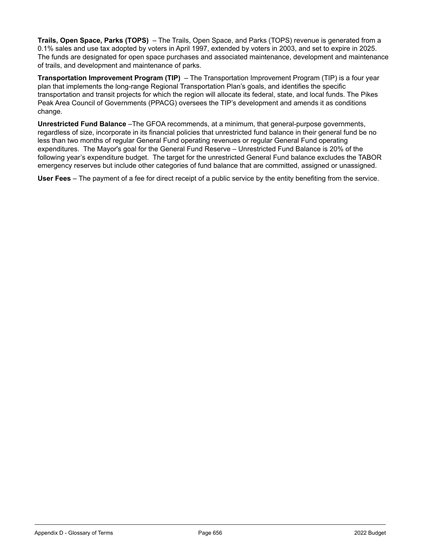**Trails, Open Space, Parks (TOPS)** – The Trails, Open Space, and Parks (TOPS) revenue is generated from a 0.1% sales and use tax adopted by voters in April 1997, extended by voters in 2003, and set to expire in 2025. The funds are designated for open space purchases and associated maintenance, development and maintenance of trails, and development and maintenance of parks.

**Transportation Improvement Program (TIP)** – The Transportation Improvement Program (TIP) is a four year plan that implements the long-range Regional Transportation Plan's goals, and identifies the specific transportation and transit projects for which the region will allocate its federal, state, and local funds. The Pikes Peak Area Council of Governments (PPACG) oversees the TIP's development and amends it as conditions change.

**Unrestricted Fund Balance** –The GFOA recommends, at a minimum, that general-purpose governments, regardless of size, incorporate in its financial policies that unrestricted fund balance in their general fund be no less than two months of regular General Fund operating revenues or regular General Fund operating expenditures. The Mayor's goal for the General Fund Reserve – Unrestricted Fund Balance is 20% of the following year's expenditure budget. The target for the unrestricted General Fund balance excludes the TABOR emergency reserves but include other categories of fund balance that are committed, assigned or unassigned.

**User Fees** – The payment of a fee for direct receipt of a public service by the entity benefiting from the service.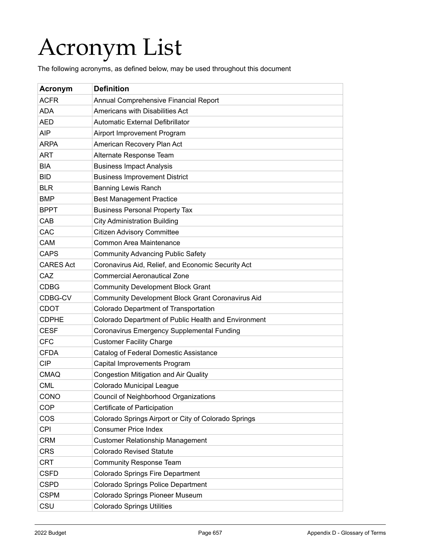## Acronym List

The following acronyms, as defined below, may be used throughout this document

| Acronym          | <b>Definition</b>                                    |
|------------------|------------------------------------------------------|
| <b>ACFR</b>      | Annual Comprehensive Financial Report                |
| <b>ADA</b>       | Americans with Disabilities Act                      |
| <b>AED</b>       | <b>Automatic External Defibrillator</b>              |
| <b>AIP</b>       | Airport Improvement Program                          |
| <b>ARPA</b>      | American Recovery Plan Act                           |
| <b>ART</b>       | Alternate Response Team                              |
| <b>BIA</b>       | <b>Business Impact Analysis</b>                      |
| <b>BID</b>       | <b>Business Improvement District</b>                 |
| <b>BLR</b>       | <b>Banning Lewis Ranch</b>                           |
| <b>BMP</b>       | <b>Best Management Practice</b>                      |
| <b>BPPT</b>      | <b>Business Personal Property Tax</b>                |
| CAB              | <b>City Administration Building</b>                  |
| CAC              | <b>Citizen Advisory Committee</b>                    |
| <b>CAM</b>       | Common Area Maintenance                              |
| <b>CAPS</b>      | <b>Community Advancing Public Safety</b>             |
| <b>CARES Act</b> | Coronavirus Aid, Relief, and Economic Security Act   |
| CAZ              | <b>Commercial Aeronautical Zone</b>                  |
| <b>CDBG</b>      | <b>Community Development Block Grant</b>             |
| CDBG-CV          | Community Development Block Grant Coronavirus Aid    |
| <b>CDOT</b>      | Colorado Department of Transportation                |
| <b>CDPHE</b>     | Colorado Department of Public Health and Environment |
| <b>CESF</b>      | Coronavirus Emergency Supplemental Funding           |
| <b>CFC</b>       | <b>Customer Facility Charge</b>                      |
| <b>CFDA</b>      | Catalog of Federal Domestic Assistance               |
| <b>CIP</b>       | Capital Improvements Program                         |
| <b>CMAQ</b>      | <b>Congestion Mitigation and Air Quality</b>         |
| <b>CML</b>       | Colorado Municipal League                            |
| CONO             | Council of Neighborhood Organizations                |
| <b>COP</b>       | Certificate of Participation                         |
| <b>COS</b>       | Colorado Springs Airport or City of Colorado Springs |
| <b>CPI</b>       | <b>Consumer Price Index</b>                          |
| <b>CRM</b>       | <b>Customer Relationship Management</b>              |
| <b>CRS</b>       | <b>Colorado Revised Statute</b>                      |
| <b>CRT</b>       | <b>Community Response Team</b>                       |
| <b>CSFD</b>      | <b>Colorado Springs Fire Department</b>              |
| <b>CSPD</b>      | Colorado Springs Police Department                   |
| <b>CSPM</b>      | Colorado Springs Pioneer Museum                      |
| CSU              | <b>Colorado Springs Utilities</b>                    |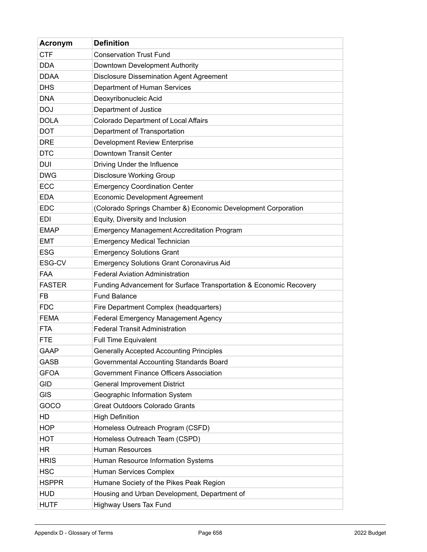| Acronym       | <b>Definition</b>                                                  |
|---------------|--------------------------------------------------------------------|
| <b>CTF</b>    | <b>Conservation Trust Fund</b>                                     |
| <b>DDA</b>    | Downtown Development Authority                                     |
| <b>DDAA</b>   | <b>Disclosure Dissemination Agent Agreement</b>                    |
| <b>DHS</b>    | Department of Human Services                                       |
| <b>DNA</b>    | Deoxyribonucleic Acid                                              |
| <b>DOJ</b>    | Department of Justice                                              |
| <b>DOLA</b>   | <b>Colorado Department of Local Affairs</b>                        |
| <b>DOT</b>    | Department of Transportation                                       |
| <b>DRE</b>    | Development Review Enterprise                                      |
| <b>DTC</b>    | Downtown Transit Center                                            |
| DUI           | Driving Under the Influence                                        |
| <b>DWG</b>    | Disclosure Working Group                                           |
| <b>ECC</b>    | <b>Emergency Coordination Center</b>                               |
| <b>EDA</b>    | <b>Economic Development Agreement</b>                              |
| <b>EDC</b>    | (Colorado Springs Chamber &) Economic Development Corporation      |
| EDI           | Equity, Diversity and Inclusion                                    |
| <b>EMAP</b>   | <b>Emergency Management Accreditation Program</b>                  |
| <b>EMT</b>    | <b>Emergency Medical Technician</b>                                |
| <b>ESG</b>    | <b>Emergency Solutions Grant</b>                                   |
| ESG-CV        | <b>Emergency Solutions Grant Coronavirus Aid</b>                   |
| FAA           | <b>Federal Aviation Administration</b>                             |
| <b>FASTER</b> | Funding Advancement for Surface Transportation & Economic Recovery |
| FB            | <b>Fund Balance</b>                                                |
| <b>FDC</b>    | Fire Department Complex (headquarters)                             |
| <b>FEMA</b>   | Federal Emergency Management Agency                                |
| <b>FTA</b>    | <b>Federal Transit Administration</b>                              |
| <b>FTE</b>    | <b>Full Time Equivalent</b>                                        |
| <b>GAAP</b>   | <b>Generally Accepted Accounting Principles</b>                    |
| <b>GASB</b>   | Governmental Accounting Standards Board                            |
| <b>GFOA</b>   | <b>Government Finance Officers Association</b>                     |
| <b>GID</b>    | General Improvement District                                       |
| <b>GIS</b>    | Geographic Information System                                      |
| GOCO          | <b>Great Outdoors Colorado Grants</b>                              |
| <b>HD</b>     | <b>High Definition</b>                                             |
| <b>HOP</b>    | Homeless Outreach Program (CSFD)                                   |
| <b>HOT</b>    | Homeless Outreach Team (CSPD)                                      |
| HR            | <b>Human Resources</b>                                             |
| <b>HRIS</b>   | Human Resource Information Systems                                 |
| <b>HSC</b>    | Human Services Complex                                             |
| <b>HSPPR</b>  | Humane Society of the Pikes Peak Region                            |
| <b>HUD</b>    | Housing and Urban Development, Department of                       |
| <b>HUTF</b>   | Highway Users Tax Fund                                             |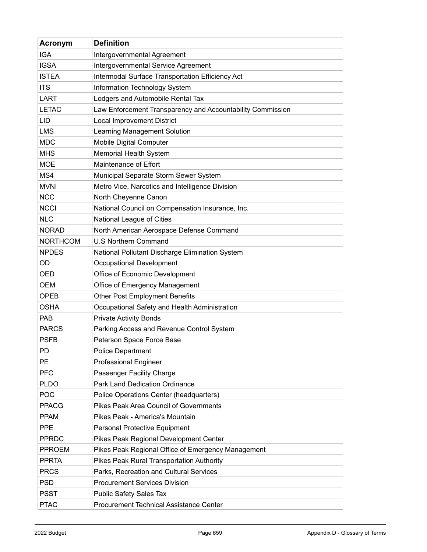| Acronym         | <b>Definition</b>                                          |
|-----------------|------------------------------------------------------------|
| <b>IGA</b>      | Intergovernmental Agreement                                |
| <b>IGSA</b>     | Intergovernmental Service Agreement                        |
| <b>ISTEA</b>    | Intermodal Surface Transportation Efficiency Act           |
| <b>ITS</b>      | Information Technology System                              |
| LART            | Lodgers and Automobile Rental Tax                          |
| <b>LETAC</b>    | Law Enforcement Transparency and Accountability Commission |
| LID             | <b>Local Improvement District</b>                          |
| <b>LMS</b>      | Learning Management Solution                               |
| <b>MDC</b>      | <b>Mobile Digital Computer</b>                             |
| <b>MHS</b>      | Memorial Health System                                     |
| <b>MOE</b>      | Maintenance of Effort                                      |
| MS4             | Municipal Separate Storm Sewer System                      |
| <b>MVNI</b>     | Metro Vice, Narcotics and Intelligence Division            |
| <b>NCC</b>      | North Cheyenne Canon                                       |
| <b>NCCI</b>     | National Council on Compensation Insurance, Inc.           |
| <b>NLC</b>      | National League of Cities                                  |
| <b>NORAD</b>    | North American Aerospace Defense Command                   |
| <b>NORTHCOM</b> | <b>U.S Northern Command</b>                                |
| <b>NPDES</b>    | National Pollutant Discharge Elimination System            |
| OD              | Occupational Development                                   |
| <b>OED</b>      | Office of Economic Development                             |
| <b>OEM</b>      | Office of Emergency Management                             |
| <b>OPEB</b>     | <b>Other Post Employment Benefits</b>                      |
| <b>OSHA</b>     | Occupational Safety and Health Administration              |
| <b>PAB</b>      | <b>Private Activity Bonds</b>                              |
| <b>PARCS</b>    | Parking Access and Revenue Control System                  |
| <b>PSFB</b>     | Peterson Space Force Base                                  |
| PD              | <b>Police Department</b>                                   |
| <b>PE</b>       | <b>Professional Engineer</b>                               |
| <b>PFC</b>      | Passenger Facility Charge                                  |
| <b>PLDO</b>     | <b>Park Land Dedication Ordinance</b>                      |
| <b>POC</b>      | Police Operations Center (headquarters)                    |
| <b>PPACG</b>    | Pikes Peak Area Council of Governments                     |
| <b>PPAM</b>     | Pikes Peak - America's Mountain                            |
| <b>PPE</b>      | Personal Protective Equipment                              |
| <b>PPRDC</b>    | Pikes Peak Regional Development Center                     |
| <b>PPROEM</b>   | Pikes Peak Regional Office of Emergency Management         |
| <b>PPRTA</b>    | Pikes Peak Rural Transportation Authority                  |
| <b>PRCS</b>     | Parks, Recreation and Cultural Services                    |
| <b>PSD</b>      | <b>Procurement Services Division</b>                       |
| <b>PSST</b>     | <b>Public Safety Sales Tax</b>                             |
| <b>PTAC</b>     | <b>Procurement Technical Assistance Center</b>             |